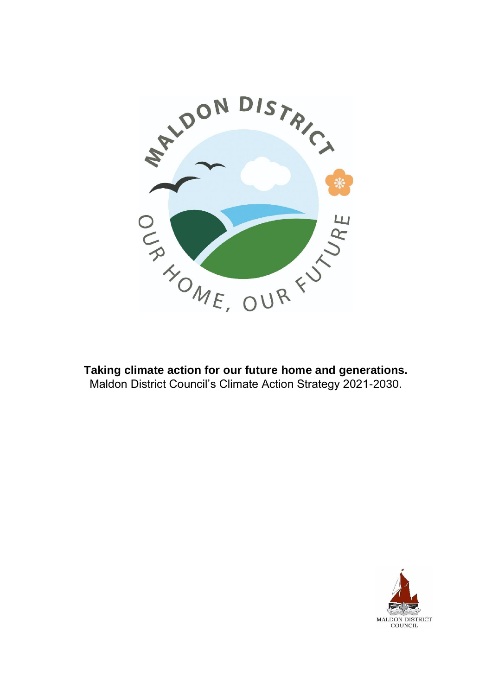

**Taking climate action for our future home and generations.** Maldon District Council's Climate Action Strategy 2021-2030.

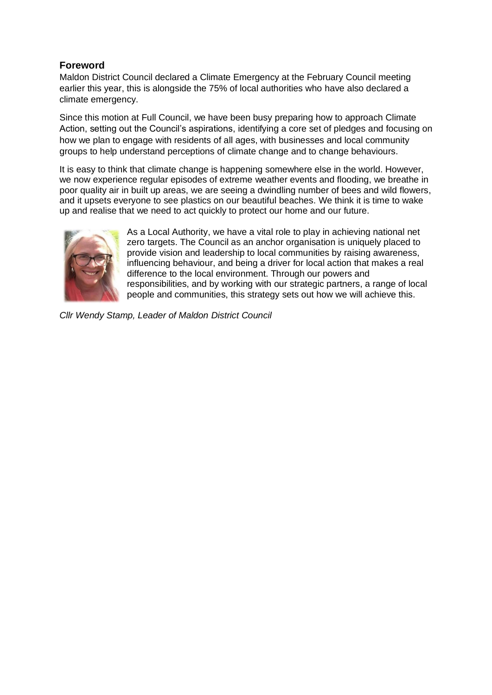# **Foreword**

Maldon District Council declared a Climate Emergency at the February Council meeting earlier this year, this is alongside the 75% of local authorities who have also declared a climate emergency.

Since this motion at Full Council, we have been busy preparing how to approach Climate Action, setting out the Council's aspirations, identifying a core set of pledges and focusing on how we plan to engage with residents of all ages, with businesses and local community groups to help understand perceptions of climate change and to change behaviours.

It is easy to think that climate change is happening somewhere else in the world. However, we now experience regular episodes of extreme weather events and flooding, we breathe in poor quality air in built up areas, we are seeing a dwindling number of bees and wild flowers, and it upsets everyone to see plastics on our beautiful beaches. We think it is time to wake up and realise that we need to act quickly to protect our home and our future.



As a Local Authority, we have a vital role to play in achieving national net zero targets. The Council as an anchor organisation is uniquely placed to provide vision and leadership to local communities by raising awareness, influencing behaviour, and being a driver for local action that makes a real difference to the local environment. Through our powers and responsibilities, and by working with our strategic partners, a range of local people and communities, this strategy sets out how we will achieve this.

*Cllr Wendy Stamp, Leader of Maldon District Council*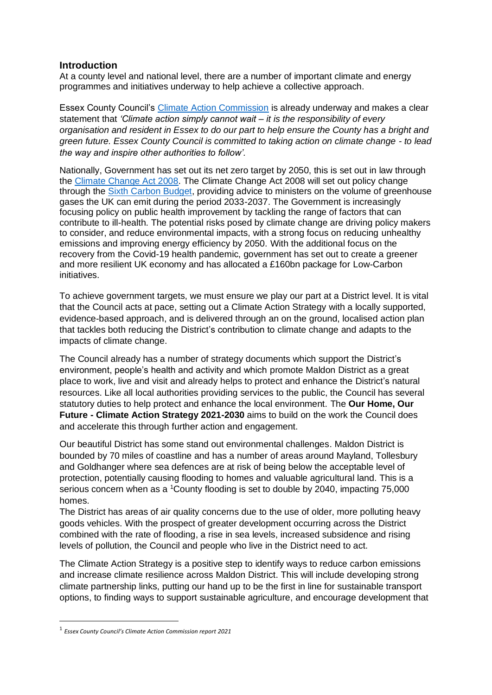### **Introduction**

At a county level and national level, there are a number of important climate and energy programmes and initiatives underway to help achieve a collective approach.

Essex County Council's [Climate Action Commission](https://beta.essex.gov.uk/climate-action) is already underway and makes a clear statement that *'Climate action simply cannot wait – it is the responsibility of every organisation and resident in Essex to do our part to help ensure the County has a bright and green future. Essex County Council is committed to taking action on climate change - to lead the way and inspire other authorities to follow'.*

Nationally, Government has set out its net zero target by 2050, this is set out in law through the [Climate Change Act 2008.](https://www.legislation.gov.uk/ukpga/2008/27/introduction) The Climate Change Act 2008 will set out policy change through the [Sixth Carbon Budget,](https://www.theccc.org.uk/publication/sixth-carbon-budget/) providing advice to ministers on the volume of greenhouse gases the UK can emit during the period 2033-2037. The Government is increasingly focusing policy on public health improvement by tackling the range of factors that can contribute to ill-health. The potential risks posed by climate change are driving policy makers to consider, and reduce environmental impacts, with a strong focus on reducing unhealthy emissions and improving energy efficiency by 2050. With the additional focus on the recovery from the Covid-19 health pandemic, government has set out to create a greener and more resilient UK economy and has allocated a £160bn package for Low-Carbon initiatives.

To achieve government targets, we must ensure we play our part at a District level. It is vital that the Council acts at pace, setting out a Climate Action Strategy with a locally supported, evidence-based approach, and is delivered through an on the ground, localised action plan that tackles both reducing the District's contribution to climate change and adapts to the impacts of climate change.

The Council already has a number of strategy documents which support the District's environment, people's health and activity and which promote Maldon District as a great place to work, live and visit and already helps to protect and enhance the District's natural resources. Like all local authorities providing services to the public, the Council has several statutory duties to help protect and enhance the local environment. The **Our Home, Our Future - Climate Action Strategy 2021-2030** aims to build on the work the Council does and accelerate this through further action and engagement.

Our beautiful District has some stand out environmental challenges. Maldon District is bounded by 70 miles of coastline and has a number of areas around Mayland, Tollesbury and Goldhanger where sea defences are at risk of being below the acceptable level of protection, potentially causing flooding to homes and valuable agricultural land. This is a serious concern when as a <sup>1</sup>County flooding is set to double by 2040, impacting 75,000 homes.

The District has areas of air quality concerns due to the use of older, more polluting heavy goods vehicles. With the prospect of greater development occurring across the District combined with the rate of flooding, a rise in sea levels, increased subsidence and rising levels of pollution, the Council and people who live in the District need to act.

The Climate Action Strategy is a positive step to identify ways to reduce carbon emissions and increase climate resilience across Maldon District. This will include developing strong climate partnership links, putting our hand up to be the first in line for sustainable transport options, to finding ways to support sustainable agriculture, and encourage development that

<sup>1</sup> *Essex County Council's Climate Action Commission report 2021*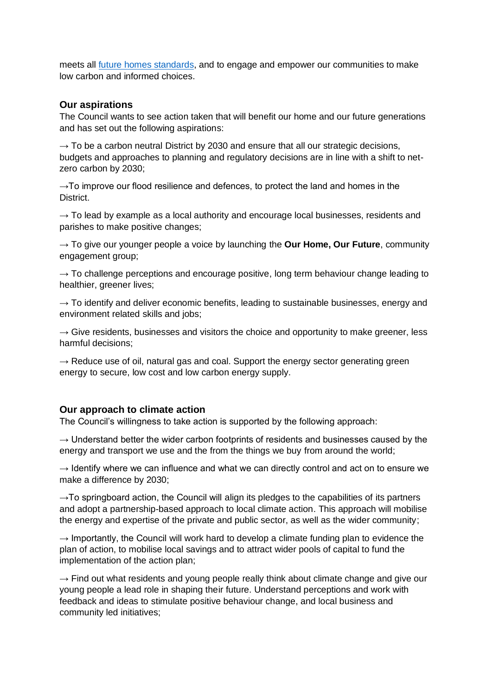meets all [future homes standards,](https://www.gov.uk/government/consultations/the-future-homes-standard-changes-to-part-l-and-part-f-of-the-building-regulations-for-new-dwellings) and to engage and empower our communities to make low carbon and informed choices.

### **Our aspirations**

The Council wants to see action taken that will benefit our home and our future generations and has set out the following aspirations:

 $\rightarrow$  To be a carbon neutral District by 2030 and ensure that all our strategic decisions, budgets and approaches to planning and regulatory decisions are in line with a shift to netzero carbon by 2030;

 $\rightarrow$ To improve our flood resilience and defences, to protect the land and homes in the **District.** 

 $\rightarrow$  To lead by example as a local authority and encourage local businesses, residents and parishes to make positive changes;

→ To give our younger people a voice by launching the **Our Home, Our Future**, community engagement group;

 $\rightarrow$  To challenge perceptions and encourage positive, long term behaviour change leading to healthier, greener lives;

 $\rightarrow$  To identify and deliver economic benefits, leading to sustainable businesses, energy and environment related skills and jobs;

 $\rightarrow$  Give residents, businesses and visitors the choice and opportunity to make greener, less harmful decisions;

 $\rightarrow$  Reduce use of oil, natural gas and coal. Support the energy sector generating green energy to secure, low cost and low carbon energy supply.

### **Our approach to climate action**

The Council's willingness to take action is supported by the following approach:

 $\rightarrow$  Understand better the wider carbon footprints of residents and businesses caused by the energy and transport we use and the from the things we buy from around the world;

 $\rightarrow$  Identify where we can influence and what we can directly control and act on to ensure we make a difference by 2030;

 $\rightarrow$ To springboard action, the Council will align its pledges to the capabilities of its partners and adopt a partnership-based approach to local climate action. This approach will mobilise the energy and expertise of the private and public sector, as well as the wider community;

 $\rightarrow$  Importantly, the Council will work hard to develop a climate funding plan to evidence the plan of action, to mobilise local savings and to attract wider pools of capital to fund the implementation of the action plan;

 $\rightarrow$  Find out what residents and young people really think about climate change and give our young people a lead role in shaping their future. Understand perceptions and work with feedback and ideas to stimulate positive behaviour change, and local business and community led initiatives;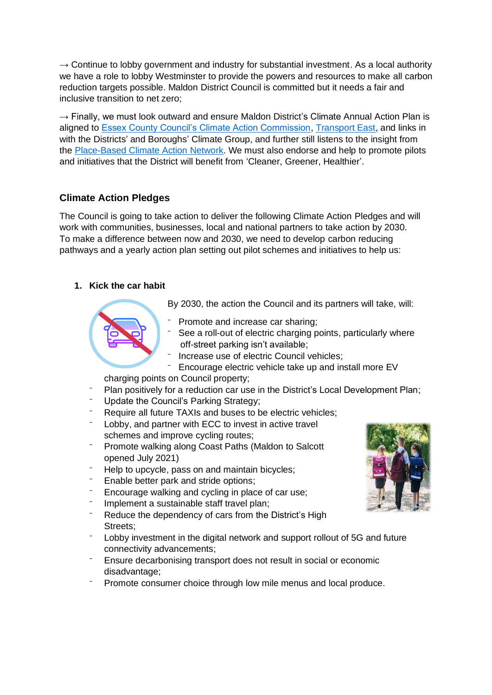$\rightarrow$  Continue to lobby government and industry for substantial investment. As a local authority we have a role to lobby Westminster to provide the powers and resources to make all carbon reduction targets possible. Maldon District Council is committed but it needs a fair and inclusive transition to net zero;

 $\rightarrow$  Finally, we must look outward and ensure Maldon District's Climate Annual Action Plan is aligned to [Essex County Council's Climate Action Commission,](https://beta.essex.gov.uk/climate-action) [Transport East,](https://www.transporteast.org.uk/) and links in with the Districts' and Boroughs' Climate Group, and further still listens to the insight from the [Place-Based Climate Action Network.](https://www.pcancities.org.uk/) We must also endorse and help to promote pilots and initiatives that the District will benefit from 'Cleaner, Greener, Healthier'.

# **Climate Action Pledges**

The Council is going to take action to deliver the following Climate Action Pledges and will work with communities, businesses, local and national partners to take action by 2030. To make a difference between now and 2030, we need to develop carbon reducing pathways and a yearly action plan setting out pilot schemes and initiatives to help us:

## **1. Kick the car habit**

By 2030, the action the Council and its partners will take, will:

- Promote and increase car sharing:
- ⁻ See a roll-out of electric charging points, particularly where off-street parking isn't available;
- Increase use of electric Council vehicles;
- Encourage electric vehicle take up and install more EV
- charging points on Council property;
- Plan positively for a reduction car use in the District's Local Development Plan;
- ⁻ Update the Council's Parking Strategy;
- Require all future TAXIs and buses to be electric vehicles;
- Lobby, and partner with ECC to invest in active travel schemes and improve cycling routes;
- Promote walking along Coast Paths (Maldon to Salcott opened July 2021)
- Help to upcycle, pass on and maintain bicycles;
- Enable better park and stride options;
- Encourage walking and cycling in place of car use;
- Implement a sustainable staff travel plan;
- Reduce the dependency of cars from the District's High Streets;
- Lobby investment in the digital network and support rollout of 5G and future connectivity advancements;
- ⁻ Ensure decarbonising transport does not result in social or economic disadvantage;
- Promote consumer choice through low mile menus and local produce.

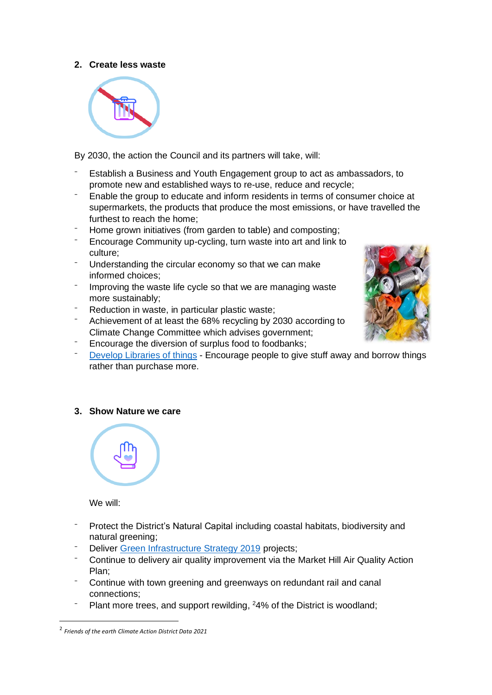### **2. Create less waste**



By 2030, the action the Council and its partners will take, will:

- Establish a Business and Youth Engagement group to act as ambassadors, to promote new and established ways to re-use, reduce and recycle;
- Enable the group to educate and inform residents in terms of consumer choice at supermarkets, the products that produce the most emissions, or have travelled the furthest to reach the home;
- Home grown initiatives (from garden to table) and composting;
- ⁻ Encourage Community up-cycling, turn waste into art and link to culture;
- Understanding the circular economy so that we can make informed choices;
- Improving the waste life cycle so that we are managing waste more sustainably;
- Reduction in waste, in particular plastic waste;
- Achievement of at least the 68% recycling by 2030 according to Climate Change Committee which advises government;



- Encourage the diversion of surplus food to foodbanks;
- [Develop Libraries of](https://www.libraryofthings.co.uk/) things Encourage people to give stuff away and borrow things rather than purchase more.

### **3. Show Nature we care**



We will:

- ⁻ Protect the District's Natural Capital including coastal habitats, biodiversity and natural greening;
- Deliver [Green Infrastructure Strategy 2019](https://www.maldon.gov.uk/info/20048/planning_policy/8114/other_local_plan_documents/8#:~:text=The%20Maldon%20District%20Green%20Infrastructure%20Strategy%20SPD%20provides,adopted%20by%20the%20Council%20on%2016%20May%202019) projects:
- Continue to delivery air quality improvement via the Market Hill Air Quality Action Plan;
- Continue with town greening and greenways on redundant rail and canal connections;
- Plant more trees, and support rewilding, <sup>2</sup>4% of the District is woodland;

<sup>2</sup> *Friends of the earth Climate Action District Data 2021*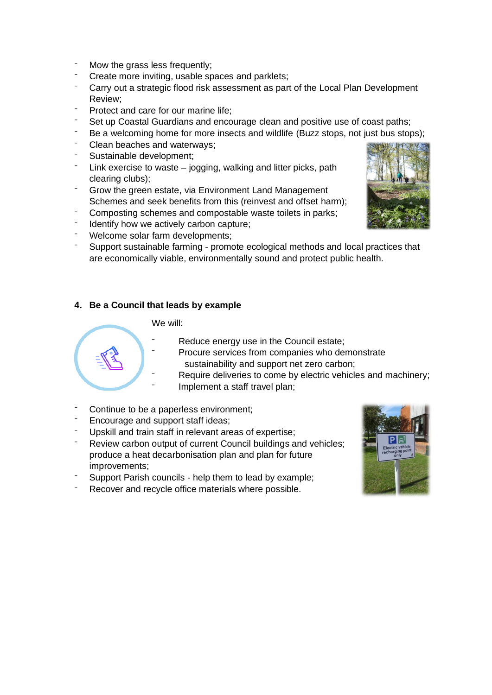- Mow the grass less frequently;
- Create more inviting, usable spaces and parklets;
- Carry out a strategic flood risk assessment as part of the Local Plan Development Review;
- Protect and care for our marine life:
- Set up Coastal Guardians and encourage clean and positive use of coast paths;
- <sup>-</sup> Be a welcoming home for more insects and wildlife (Buzz stops, not just bus stops);
- Clean beaches and waterways;
- Sustainable development:
- Link exercise to waste  $-$  jogging, walking and litter picks, path clearing clubs);
- ⁻ Grow the green estate, via Environment Land Management Schemes and seek benefits from this (reinvest and offset harm);
- Composting schemes and compostable waste toilets in parks;
- Identify how we actively carbon capture:
- Welcome solar farm developments;
- Support sustainable farming promote ecological methods and local practices that are economically viable, environmentally sound and protect public health.

## **4. Be a Council that leads by example**

### We will:

- Reduce energy use in the Council estate;
- Procure services from companies who demonstrate sustainability and support net zero carbon;
- Require deliveries to come by electric vehicles and machinery;
- Implement a staff travel plan;
- Continue to be a paperless environment;
- Encourage and support staff ideas;
- Upskill and train staff in relevant areas of expertise;
- Review carbon output of current Council buildings and vehicles; produce a heat decarbonisation plan and plan for future improvements;
- Support Parish councils help them to lead by example;
- Recover and recycle office materials where possible.



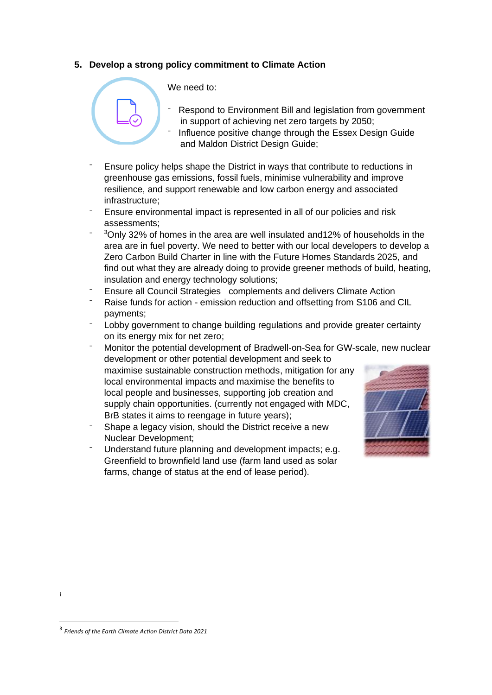### **5. Develop a strong policy commitment to Climate Action**



Respond to Environment Bill and legislation from government in support of achieving net zero targets by 2050;

- Influence positive change through the Essex Design Guide and Maldon District Design Guide;
- Ensure policy helps shape the District in ways that contribute to reductions in greenhouse gas emissions, fossil fuels, minimise vulnerability and improve resilience, and support renewable and low carbon energy and associated infrastructure;
- ⁻ Ensure environmental impact is represented in all of our policies and risk assessments;
- $\overline{\phantom{0}}$ <sup>3</sup>Only 32% of homes in the area are well insulated and12% of households in the area are in fuel poverty. We need to better with our local developers to develop a Zero Carbon Build Charter in line with the Future Homes Standards 2025, and find out what they are already doing to provide greener methods of build, heating, insulation and energy technology solutions;
- Ensure all Council Strategies complements and delivers Climate Action
- Raise funds for action emission reduction and offsetting from S106 and CIL payments;
- Lobby government to change building regulations and provide greater certainty on its energy mix for net zero;
- Monitor the potential development of Bradwell-on-Sea for GW-scale, new nuclear development or other potential development and seek to maximise sustainable construction methods, mitigation for any local environmental impacts and maximise the benefits to local people and businesses, supporting job creation and supply chain opportunities. (currently not engaged with MDC, BrB states it aims to reengage in future years);
- Shape a legacy vision, should the District receive a new Nuclear Development;
- Understand future planning and development impacts; e.g. Greenfield to brownfield land use (farm land used as solar farms, change of status at the end of lease period).



**i**

<sup>3</sup> *Friends of the Earth Climate Action District Data 2021*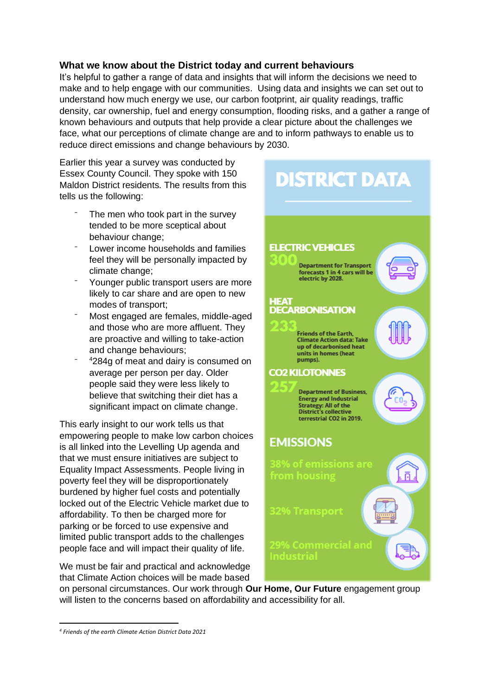# **What we know about the District today and current behaviours**

It's helpful to gather a range of data and insights that will inform the decisions we need to make and to help engage with our communities. Using data and insights we can set out to understand how much energy we use, our carbon footprint, air quality readings, traffic density, car ownership, fuel and energy consumption, flooding risks, and a gather a range of known behaviours and outputs that help provide a clear picture about the challenges we face, what our perceptions of climate change are and to inform pathways to enable us to reduce direct emissions and change behaviours by 2030.

Earlier this year a survey was conducted by Essex County Council. They spoke with 150 Maldon District residents. The results from this tells us the following:

- The men who took part in the survey tended to be more sceptical about behaviour change;
- Lower income households and families feel they will be personally impacted by climate change;
- Younger public transport users are more likely to car share and are open to new modes of transport;
- ⁻ Most engaged are females, middle-aged and those who are more affluent. They are proactive and willing to take-action and change behaviours;
- $\overline{\phantom{0}}$ <sup>4</sup>284g of meat and dairy is consumed on average per person per day. Older people said they were less likely to believe that switching their diet has a significant impact on climate change.

This early insight to our work tells us that empowering people to make low carbon choices is all linked into the Levelling Up agenda and that we must ensure initiatives are subject to Equality Impact Assessments. People living in poverty feel they will be disproportionately burdened by higher fuel costs and potentially locked out of the Electric Vehicle market due to affordability. To then be charged more for parking or be forced to use expensive and limited public transport adds to the challenges people face and will impact their quality of life.

We must be fair and practical and acknowledge that Climate Action choices will be made based

# **DISTRICT DATA ELECTRIC VEHICLES Department for Transport** forecasts 1 in 4 cars will be electric by 2028. **HEAT DECARBONISATION Friends of the Earth. Climate Action data: Take** up of decarbonised heat units in homes (heat pumps). **CO2 KILOTONNES Department of Business, Energy and Industrial** Strategy: All of the<br>District's collective terrestrial CO2 in 2019. **EMISSIONS** from housing ក ndustria

on personal circumstances. Our work through **Our Home, Our Future** engagement group will listen to the concerns based on affordability and accessibility for all.

*<sup>4</sup> Friends of the earth Climate Action District Data 2021*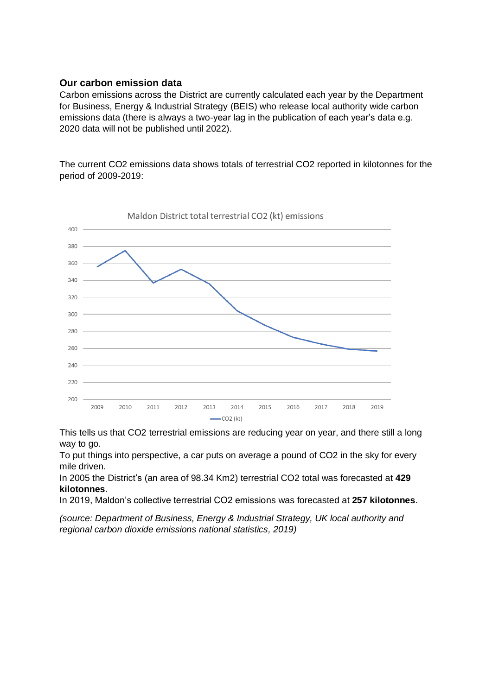### **Our carbon emission data**

Carbon emissions across the District are currently calculated each year by the Department for Business, Energy & Industrial Strategy (BEIS) who release local authority wide carbon emissions data (there is always a two-year lag in the publication of each year's data e.g. 2020 data will not be published until 2022).

The current CO2 emissions data shows totals of terrestrial CO2 reported in kilotonnes for the period of 2009-2019:



This tells us that CO2 terrestrial emissions are reducing year on year, and there still a long way to go.

To put things into perspective, a car puts on average a pound of CO2 in the sky for every mile driven.

In 2005 the District's (an area of 98.34 Km2) terrestrial CO2 total was forecasted at **429 kilotonnes**.

In 2019, Maldon's collective terrestrial CO2 emissions was forecasted at **257 kilotonnes**.

*(source: Department of Business, Energy & Industrial Strategy, UK local authority and regional carbon dioxide emissions national statistics, 2019)*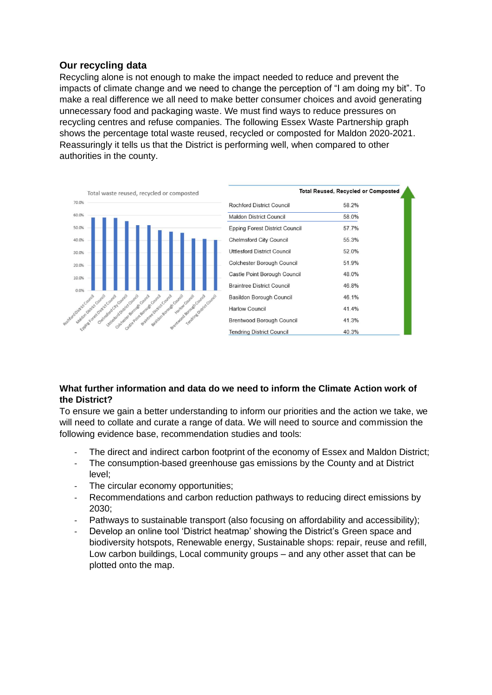## **Our recycling data**

Recycling alone is not enough to make the impact needed to reduce and prevent the impacts of climate change and we need to change the perception of "I am doing my bit". To make a real difference we all need to make better consumer choices and avoid generating unnecessary food and packaging waste. We must find ways to reduce pressures on recycling centres and refuse companies. The following Essex Waste Partnership graph shows the percentage total waste reused, recycled or composted for Maldon 2020-2021. Reassuringly it tells us that the District is performing well, when compared to other authorities in the county.



### **What further information and data do we need to inform the Climate Action work of the District?**

To ensure we gain a better understanding to inform our priorities and the action we take, we will need to collate and curate a range of data. We will need to source and commission the following evidence base, recommendation studies and tools:

- The direct and indirect carbon footprint of the economy of Essex and Maldon District;
- The consumption-based greenhouse gas emissions by the County and at District level;
- The circular economy opportunities:
- Recommendations and carbon reduction pathways to reducing direct emissions by 2030;
- Pathways to sustainable transport (also focusing on affordability and accessibility);
- Develop an online tool 'District heatmap' showing the District's Green space and biodiversity hotspots, Renewable energy, Sustainable shops: repair, reuse and refill, Low carbon buildings, Local community groups – and any other asset that can be plotted onto the map.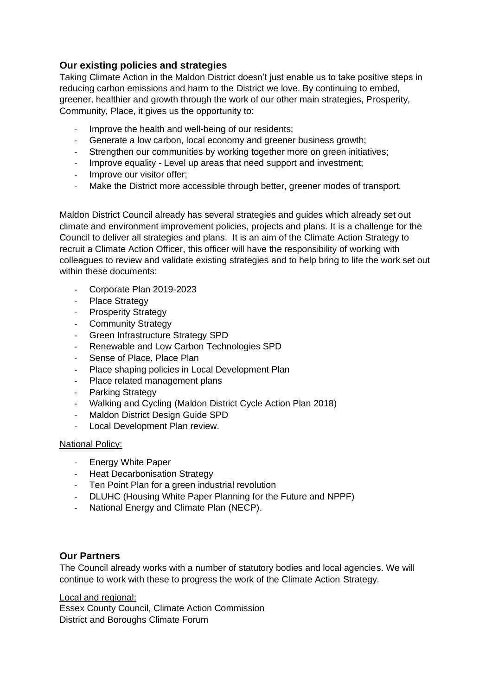# **Our existing policies and strategies**

Taking Climate Action in the Maldon District doesn't just enable us to take positive steps in reducing carbon emissions and harm to the District we love. By continuing to embed, greener, healthier and growth through the work of our other main strategies, Prosperity, Community, Place, it gives us the opportunity to:

- Improve the health and well-being of our residents;
- Generate a low carbon, local economy and greener business growth;
- Strengthen our communities by working together more on green initiatives;
- Improve equality Level up areas that need support and investment;
- Improve our visitor offer;
- Make the District more accessible through better, greener modes of transport.

Maldon District Council already has several strategies and guides which already set out climate and environment improvement policies, projects and plans. It is a challenge for the Council to deliver all strategies and plans. It is an aim of the Climate Action Strategy to recruit a Climate Action Officer, this officer will have the responsibility of working with colleagues to review and validate existing strategies and to help bring to life the work set out within these documents:

- Corporate Plan 2019-2023
- Place Strategy
- Prosperity Strategy
- Community Strategy
- Green Infrastructure Strategy SPD
- Renewable and Low Carbon Technologies SPD
- Sense of Place, Place Plan
- Place shaping policies in Local Development Plan
- Place related management plans
- Parking Strategy
- Walking and Cycling (Maldon District Cycle Action Plan 2018)
- Maldon District Design Guide SPD
- Local Development Plan review.

### National Policy:

- Energy White Paper
- Heat Decarbonisation Strategy
- Ten Point Plan for a green industrial revolution
- DLUHC (Housing White Paper Planning for the Future and NPPF)
- National Energy and Climate Plan (NECP).

## **Our Partners**

The Council already works with a number of statutory bodies and local agencies. We will continue to work with these to progress the work of the Climate Action Strategy.

Local and regional: Essex County Council, Climate Action Commission District and Boroughs Climate Forum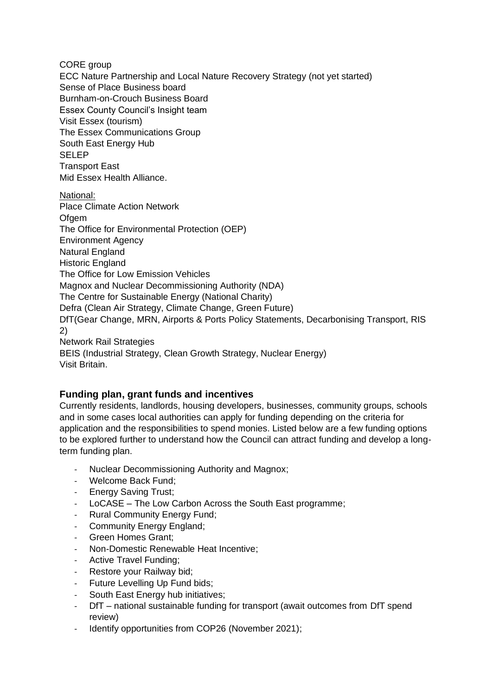CORE group

ECC Nature Partnership and Local Nature Recovery Strategy (not yet started) Sense of Place Business board Burnham-on-Crouch Business Board Essex County Council's Insight team Visit Essex (tourism) The Essex Communications Group South East Energy Hub SELEP Transport East Mid Essex Health Alliance.

National: Place Climate Action Network Ofgem The Office for Environmental Protection (OEP) Environment Agency Natural England Historic England The Office for Low Emission Vehicles Magnox and Nuclear Decommissioning Authority (NDA) The Centre for Sustainable Energy (National Charity) Defra (Clean Air Strategy, Climate Change, Green Future) DfT(Gear Change, MRN, Airports & Ports Policy Statements, Decarbonising Transport, RIS 2) Network Rail Strategies BEIS (Industrial Strategy, Clean Growth Strategy, Nuclear Energy) Visit Britain.

# **Funding plan, grant funds and incentives**

Currently residents, landlords, housing developers, businesses, community groups, schools and in some cases local authorities can apply for funding depending on the criteria for application and the responsibilities to spend monies. Listed below are a few funding options to be explored further to understand how the Council can attract funding and develop a longterm funding plan.

- Nuclear Decommissioning Authority and Magnox;
- Welcome Back Fund;
- Energy Saving Trust;
- LoCASE The Low Carbon Across the South East programme:
- Rural Community Energy Fund;
- Community Energy England;
- Green Homes Grant:
- Non-Domestic Renewable Heat Incentive;
- Active Travel Funding:
- Restore your Railway bid;
- Future Levelling Up Fund bids;
- South East Energy hub initiatives;
- DfT national sustainable funding for transport (await outcomes from DfT spend review)
- Identify opportunities from COP26 (November 2021);